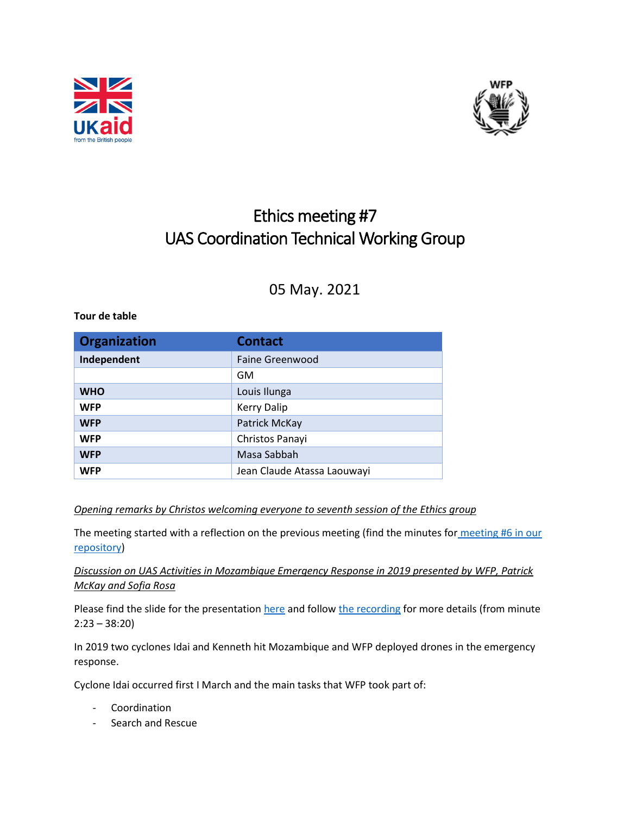



# Ethics meeting #7 UAS Coordination Technical Working Group

## 05 May. 2021

#### **Tour de table**

| <b>Organization</b> | <b>Contact</b>              |
|---------------------|-----------------------------|
| Independent         | <b>Faine Greenwood</b>      |
|                     | GM                          |
| <b>WHO</b>          | Louis Ilunga                |
| <b>WFP</b>          | <b>Kerry Dalip</b>          |
| <b>WFP</b>          | Patrick McKay               |
| <b>WFP</b>          | Christos Panayi             |
| <b>WFP</b>          | Masa Sabbah                 |
| <b>WFP</b>          | Jean Claude Atassa Laouwayi |

#### *Opening remarks by Christos welcoming everyone to seventh session of the Ethics group*

The meeting started with a reflection on the previous meeting (find the minutes for [meeting #6](https://drones.wfp.org/sites/default/files/node/resource/field_attached_document/2021-05/Ethics%20TWG%20meeting%20%236%20minutes.pdf) in our [repository\)](https://drones.wfp.org/sites/default/files/node/resource/field_attached_document/2021-05/Ethics%20TWG%20meeting%20%236%20minutes.pdf)

### *Discussion on UAS Activities in Mozambique Emergency Response in 2019 presented by WFP, Patrick McKay and Sofia Rosa*

Please find the slide for the presentatio[n here](https://wfp.sharepoint.com/:p:/s/RBJIT/EZsYB11GD15JpC-W4vokJBUByKLniaOL9mZ1wmf3O2KW2A?e=cTRvvM) and follow [the recording](https://wfp.sharepoint.com/:v:/s/UASTechnicalWorkingGroup/EWwlTY0QlHBOkMOE4NHyzQABJ5wuG5MJaVjmzoK6t_kf7A?e=2jWhJD) for more details (from minute 2:23 – 38:20)

In 2019 two cyclones Idai and Kenneth hit Mozambique and WFP deployed drones in the emergency response.

Cyclone Idai occurred first I March and the main tasks that WFP took part of:

- Coordination
- Search and Rescue